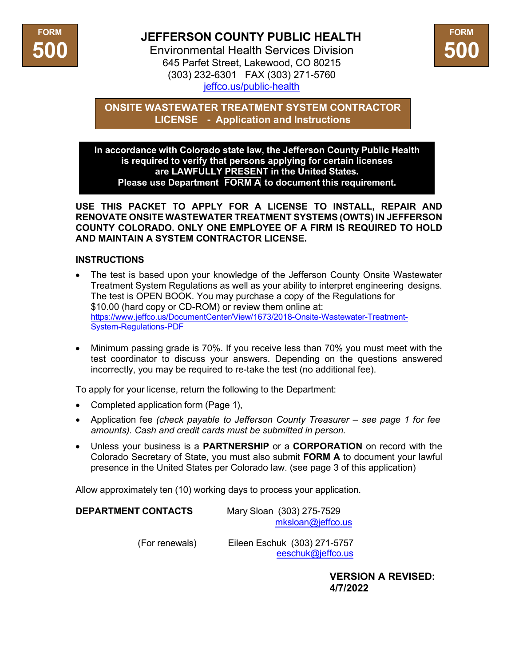

## **JEFFERSON COUNTY PUBLIC HEALTH**

Environmental Health Services Division 645 Parfet Street, Lakewood, CO 80215 (303) 232-6301 FAX (303) 271-5760 jeffco.us/public-health



**ONSITE WASTEWATER TREATMENT SYSTEM CONTRACTOR LICENSE - Application and Instructions**

**In accordance with Colorado state law, the Jefferson County Public Health is required to verify that persons applying for certain licenses are LAWFULLY PRESENT in the United States. Please use Department FORM A to document this requirement.**

**USE THIS PACKET TO APPLY FOR A LICENSE TO INSTALL, REPAIR AND RENOVATE ONSITE WASTEWATER TREATMENT SYSTEMS (OWTS) IN JEFFERSON COUNTY COLORADO. ONLY ONE EMPLOYEE OF A FIRM IS REQUIRED TO HOLD AND MAINTAIN A SYSTEM CONTRACTOR LICENSE.** 

## **INSTRUCTIONS**

- The test is based upon your knowledge of the Jefferson County Onsite Wastewater Treatment System Regulations as well as your ability to interpret engineering designs. The test is OPEN BOOK. You may purchase a copy of the Regulations for \$10.00 (hard copy or CD-ROM) or review them online at: https:/[/www.jeffco.us/DocumentCenter/View/1673/2018-Onsite-Wastewater-Treatment-](http://www.jeffco.us/DocumentCenter/View/1673/2018-Onsite-Wastewater-Treatment-)System-Regulations-PDF
- Minimum passing grade is 70%. If you receive less than 70% you must meet with the test coordinator to discuss your answers. Depending on the questions answered incorrectly, you may be required to re-take the test (no additional fee).

To apply for your license, return the following to the Department:

- Completed application form (Page 1),
- Application fee *(check payable to Jefferson County Treasurer see page 1 for fee amounts). Cash and credit cards must be submitted in person.*
- Unless your business is a **PARTNERSHIP** or a **CORPORATION** on record with the Colorado Secretary of State, you must also submit **FORM A** to document your lawful presence in the United States per Colorado law. (see page 3 of this application)

Allow approximately ten (10) working days to process your application.

| <b>DEPARTMENT CONTACTS</b> | Mary Sloan (303) 275-7529 |
|----------------------------|---------------------------|
|                            | mksloan@jeffco.us         |

(For renewals) Eileen Eschuk (303) 271-5757 [eeschuk@jeffco.us](mailto:eeschuk@jeffco.us)

> **VERSION A REVISED: 4/7/2022**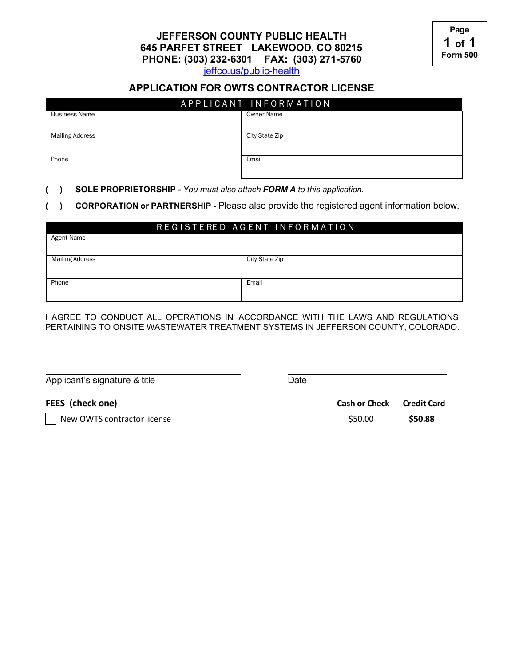**JEFFERSON COUNTY PUBLIC HEALTH 645 PARFET STREET LAKEWOOD, CO 80215 PHONE: (303) 232-6301 FAX: (303) 271-5760**

jeffco.us/public-health

## **APPLICATION FOR OWTS CONTRACTOR LICENSE**

| APPLICANT INFORMATION  |                |  |
|------------------------|----------------|--|
| <b>Business Name</b>   | Owner Name     |  |
| <b>Mailing Address</b> | City State Zip |  |
| Phone                  | Email          |  |

**( ) SOLE PROPRIETORSHIP -** *You must also attach FORM A to this application.*

**( ) CORPORATION or PARTNERSHIP** - Please also provide the registered agent information below.

|                        | REGISTERED AGENT INFORMATION |
|------------------------|------------------------------|
| Agent Name             |                              |
|                        |                              |
| <b>Mailing Address</b> | City State Zip               |
|                        |                              |
| Phone                  | Email                        |
|                        |                              |

I AGREE TO CONDUCT ALL OPERATIONS IN ACCORDANCE WITH THE LAWS AND REGULATIONS PERTAINING TO ONSITE WASTEWATER TREATMENT SYSTEMS IN JEFFERSON COUNTY, COLORADO.

Applicant's signature & title **Date** Date

**FEES (check one)**

New OWTS contractor license

| <b>Cash or Check</b> | <b>Credit Card</b> |
|----------------------|--------------------|
| \$50.00              | \$50.88            |